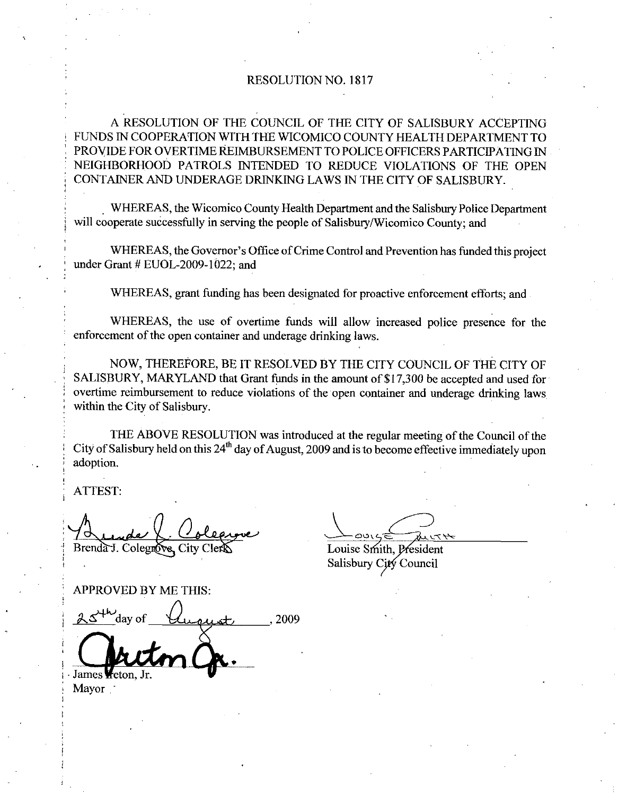## RESOLUTION NO. 1817

A RESOLUTION OF THE COUNCIL OF THE CITY OF SALISBURY ACCEPTING FUNDS IN COOPERATION WITH THE WICOMICO COUNTY HEALTH DEPARTMENT TO PROVIDE FOR OVERTIME REIMBURSEMENT TO POLICE OFFICERS PARTICIPATING IN NEIGHBORHOOD PATROLS INTENDED TO REDUCE VIOLATIONS OF THE OPEN CONTAINER AND UNDERAGE DRINKING LAWS IN THE CITY OF SALISBURY

WHEREAS, the Wicomico County Health Department and the Salisbury Police Department will cooperate successfully in serving the people of Salisbury/Wicomico County; and AINER AND UNDERAGE DRINKING LAWS IN THE CITY OF SALISBURY.<br>WHEREAS, the Wicomico County Health Department and the Salisbury Police Department<br>operate successfully in serving the people of Salisbury/Wicomico County; and<br>WHE

WHEREAS, the Governor's Office of Crime Control and Prevention has funded this project under Grant # EUOL-2009-1022; and

WHEREAS, grant funding has been designated for proactive enforcement efforts; and

WHEREAS, the use of overtime funds will allow increased police presence for the enforcement of the open container and underage drinking laws

NOW, THEREFORE, BE IT RESOLVED BY THE CITY COUNCIL OF THE CITY OF SALISBURY, MARYLAND that Grant funds in the amount of \$17,300 be accepted and used for overtime reimbursement to reduce violations of the open container and underage drinking laws within the City of Salisbury.

THE ABOVE RESOLUTION was introduced at the regulaz meeting of the Council of the City of Salisbury held on this 24<sup>th</sup> day of August, 2009 and is to become effective immediately upon adoption

ATTEST

Brenda J. Colegnove.

Louise Smith, President

Salisbury City Council

APPROVED BY ME THIS

ATTESI:<br>
Stendart. Colegrove, City Clerk<br>
APPROVED BY ME THIS:<br>
APPROVED BY ME THIS:<br>
2009<br>
Currency of Lucy Care 2009

James<sup>1</sup> Mayor